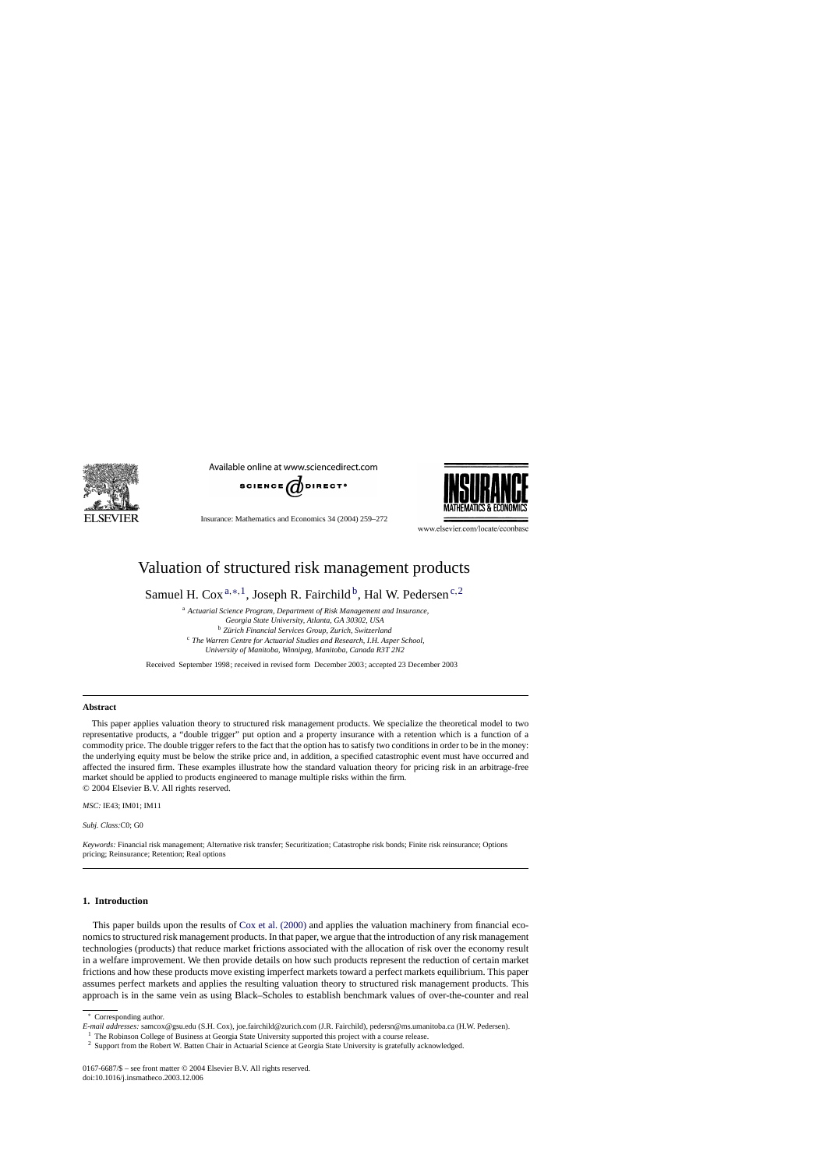

Available online at www.sciencedirect.com



Insurance: Mathematics and Economics 34 (2004) 259–272



www.elsevier.com/locate/econbase

## Valuation of structured risk management products

Samuel H. Cox<sup>a,∗,1</sup>, Joseph R. Fairchild<sup>b</sup>, Hal W. Pedersen<sup>c,2</sup>

<sup>a</sup> *Actuarial Science Program, Department of Risk Management and Insurance, Georgia State University, Atlanta, GA 30302, USA* <sup>b</sup> *Zürich Financial Services Group, Zurich, Switzerland* <sup>c</sup> *The Warren Centre for Actuarial Studies and Research, I.H. Asper School, University of Manitoba, Winnipeg, Manitoba, Canada R3T 2N2*

Received September 1998; received in revised form December 2003; accepted 23 December 2003

#### **Abstract**

This paper applies valuation theory to structured risk management products. We specialize the theoretical model to two representative products, a "double trigger" put option and a property insurance with a retention which is a function of a commodity price. The double trigger refers to the fact that the option has to satisfy two conditions in order to be in the money: the underlying equity must be below the strike price and, in addition, a specified catastrophic event must have occurred and affected the insured firm. These examples illustrate how the standard valuation theory for pricing risk in an arbitrage-free market should be applied to products engineered to manage multiple risks within the firm. © 2004 Elsevier B.V. All rights reserved.

*MSC:* IE43; IM01; IM11

*Subj. Class:*C0; G0

*Keywords:* Financial risk management; Alternative risk transfer; Securitization; Catastrophe risk bonds; Finite risk reinsurance; Options pricing; Reinsurance; Retention; Real options

#### **1. Introduction**

This paper builds upon the results of [Cox et al. \(2000\)](#page--1-0) and applies the valuation machinery from financial economics to structured risk management products. In that paper, we argue that the introduction of any risk management technologies (products) that reduce market frictions associated with the allocation of risk over the economy result in a welfare improvement. We then provide details on how such products represent the reduction of certain market frictions and how these products move existing imperfect markets toward a perfect markets equilibrium. This paper assumes perfect markets and applies the resulting valuation theory to structured risk management products. This approach is in the same vein as using Black–Scholes to establish benchmark values of over-the-counter and real

<sup>∗</sup> Corresponding author.

*E-mail addresses:* samcox@gsu.edu (S.H. Cox), joe.fairchild@zurich.com (J.R. Fairchild), pedersn@ms.umanitoba.ca (H.W. Pedersen).

<sup>&</sup>lt;sup>1</sup> The Robinson College of Business at Georgia State University supported this project with a course release.

<sup>2</sup> Support from the Robert W. Batten Chair in Actuarial Science at Georgia State University is gratefully acknowledged.

<sup>0167-6687/\$ –</sup> see front matter © 2004 Elsevier B.V. All rights reserved. doi:10.1016/j.insmatheco.2003.12.006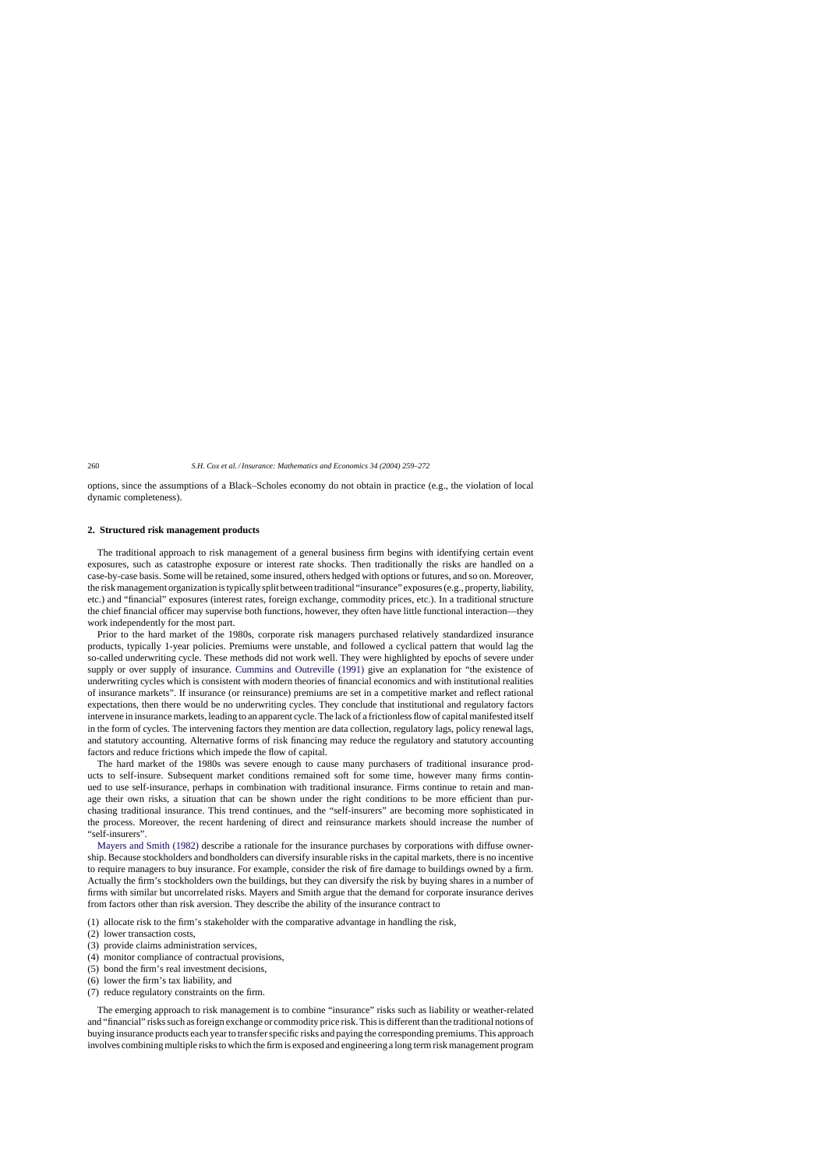options, since the assumptions of a Black–Scholes economy do not obtain in practice (e.g., the violation of local dynamic completeness).

### **2. Structured risk management products**

The traditional approach to risk management of a general business firm begins with identifying certain event exposures, such as catastrophe exposure or interest rate shocks. Then traditionally the risks are handled on a case-by-case basis. Some will be retained, some insured, others hedged with options or futures, and so on. Moreover, the risk management organization is typically split between traditional "insurance" exposures (e.g., property, liability, etc.) and "financial" exposures (interest rates, foreign exchange, commodity prices, etc.). In a traditional structure the chief financial officer may supervise both functions, however, they often have little functional interaction—they work independently for the most part.

Prior to the hard market of the 1980s, corporate risk managers purchased relatively standardized insurance products, typically 1-year policies. Premiums were unstable, and followed a cyclical pattern that would lag the so-called underwriting cycle. These methods did not work well. They were highlighted by epochs of severe under supply or over supply of insurance. [Cummins and Outreville \(1991\)](#page--1-0) give an explanation for "the existence of underwriting cycles which is consistent with modern theories of financial economics and with institutional realities of insurance markets". If insurance (or reinsurance) premiums are set in a competitive market and reflect rational expectations, then there would be no underwriting cycles. They conclude that institutional and regulatory factors intervene in insurance markets, leading to an apparent cycle. The lack of a frictionless flow of capital manifested itself in the form of cycles. The intervening factors they mention are data collection, regulatory lags, policy renewal lags, and statutory accounting. Alternative forms of risk financing may reduce the regulatory and statutory accounting factors and reduce frictions which impede the flow of capital.

The hard market of the 1980s was severe enough to cause many purchasers of traditional insurance products to self-insure. Subsequent market conditions remained soft for some time, however many firms continued to use self-insurance, perhaps in combination with traditional insurance. Firms continue to retain and manage their own risks, a situation that can be shown under the right conditions to be more efficient than purchasing traditional insurance. This trend continues, and the "self-insurers" are becoming more sophisticated in the process. Moreover, the recent hardening of direct and reinsurance markets should increase the number of "self-insurers".

[Mayers and Smith \(1982\)](#page--1-0) describe a rationale for the insurance purchases by corporations with diffuse ownership. Because stockholders and bondholders can diversify insurable risks in the capital markets, there is no incentive to require managers to buy insurance. For example, consider the risk of fire damage to buildings owned by a firm. Actually the firm's stockholders own the buildings, but they can diversify the risk by buying shares in a number of firms with similar but uncorrelated risks. Mayers and Smith argue that the demand for corporate insurance derives from factors other than risk aversion. They describe the ability of the insurance contract to

- (1) allocate risk to the firm's stakeholder with the comparative advantage in handling the risk,
- (2) lower transaction costs,
- (3) provide claims administration services,
- (4) monitor compliance of contractual provisions,
- (5) bond the firm's real investment decisions,
- (6) lower the firm's tax liability, and
- (7) reduce regulatory constraints on the firm.

The emerging approach to risk management is to combine "insurance" risks such as liability or weather-related and "financial" risks such as foreign exchange or commodity price risk. This is different than the traditional notions of buying insurance products each year to transfer specific risks and paying the corresponding premiums. This approach involves combining multiple risks to which the firm is exposed and engineering a long term risk management program